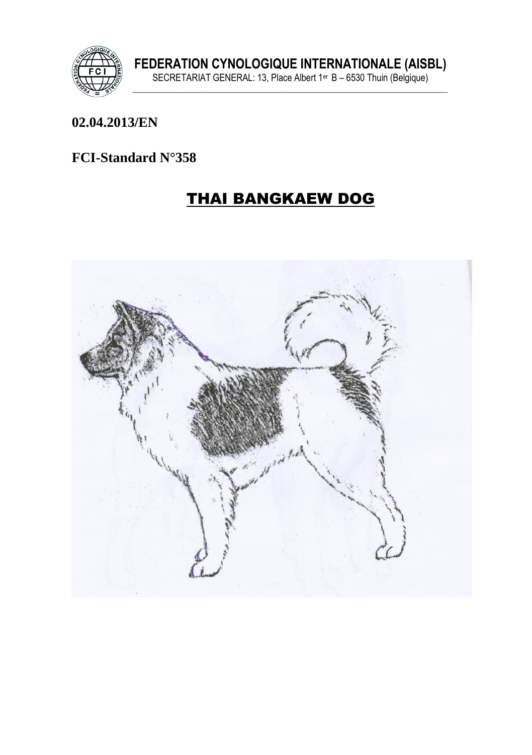

#### 02.04.2013/EN

#### FCI-Standard N°358

# **THAI BANGKAEW DOG**

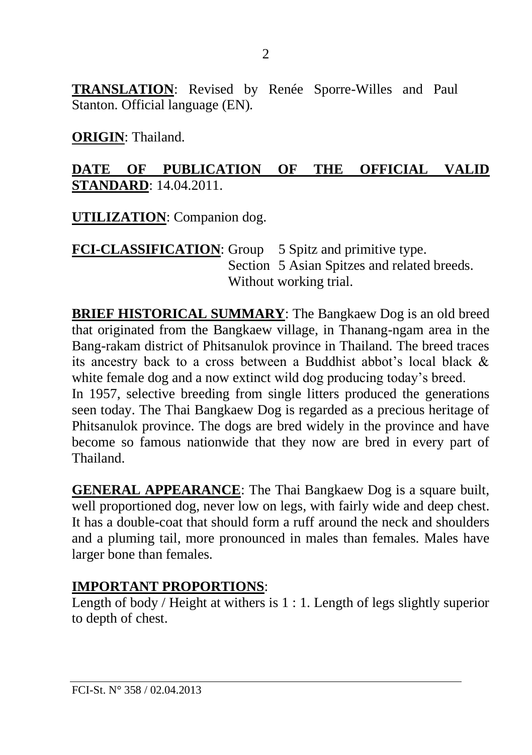**TRANSLATION**: Revised by Renée Sporre-Willes and Paul Stanton. Official language (EN)*.* 

**ORIGIN**: Thailand.

### **DATE OF PUBLICATION OF THE OFFICIAL VALID STANDARD**: 14.04.2011.

**UTILIZATION**: Companion dog.

**FCI-CLASSIFICATION**: Group 5 Spitz and primitive type. Section 5 Asian Spitzes and related breeds. Without working trial.

**BRIEF HISTORICAL SUMMARY**: The Bangkaew Dog is an old breed that originated from the Bangkaew village, in Thanang-ngam area in the Bang-rakam district of Phitsanulok province in Thailand. The breed traces its ancestry back to a cross between a Buddhist abbot's local black & white female dog and a now extinct wild dog producing today's breed.

In 1957, selective breeding from single litters produced the generations seen today. The Thai Bangkaew Dog is regarded as a precious heritage of Phitsanulok province. The dogs are bred widely in the province and have become so famous nationwide that they now are bred in every part of Thailand.

**GENERAL APPEARANCE**: The Thai Bangkaew Dog is a square built, well proportioned dog, never low on legs, with fairly wide and deep chest. It has a double-coat that should form a ruff around the neck and shoulders and a pluming tail, more pronounced in males than females. Males have larger bone than females.

## **IMPORTANT PROPORTIONS**:

Length of body / Height at withers is 1 : 1. Length of legs slightly superior to depth of chest.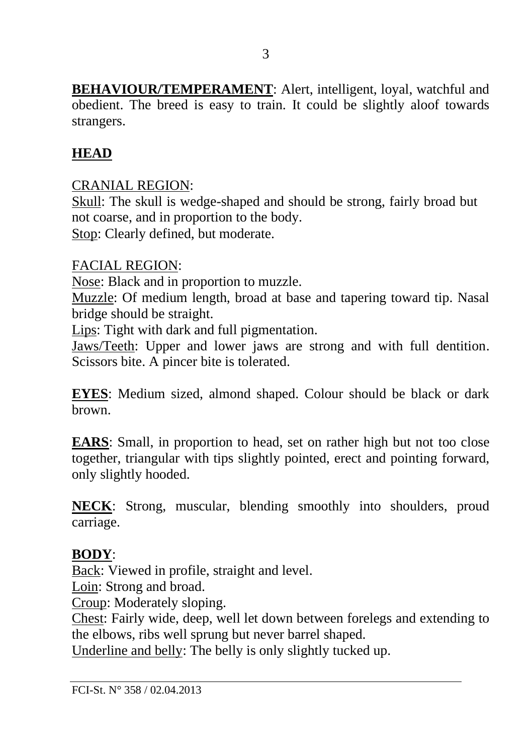**BEHAVIOUR/TEMPERAMENT**: Alert, intelligent, loyal, watchful and obedient. The breed is easy to train. It could be slightly aloof towards strangers.

## **HEAD**

### CRANIAL REGION:

Skull: The skull is wedge-shaped and should be strong, fairly broad but not coarse, and in proportion to the body. Stop: Clearly defined, but moderate.

### FACIAL REGION:

Nose: Black and in proportion to muzzle.

Muzzle: Of medium length, broad at base and tapering toward tip. Nasal bridge should be straight.

Lips: Tight with dark and full pigmentation.

Jaws/Teeth: Upper and lower jaws are strong and with full dentition. Scissors bite. A pincer bite is tolerated.

**EYES**: Medium sized, almond shaped. Colour should be black or dark brown.

**EARS**: Small, in proportion to head, set on rather high but not too close together, triangular with tips slightly pointed, erect and pointing forward, only slightly hooded.

**NECK**: Strong, muscular, blending smoothly into shoulders, proud carriage.

### **BODY**:

Back: Viewed in profile, straight and level.

Loin: Strong and broad.

Croup: Moderately sloping.

Chest: Fairly wide, deep, well let down between forelegs and extending to the elbows, ribs well sprung but never barrel shaped.

Underline and belly: The belly is only slightly tucked up.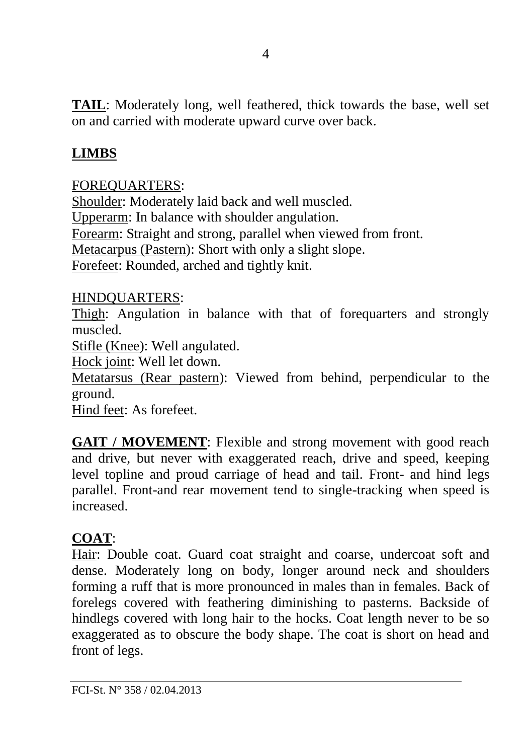**TAIL**: Moderately long, well feathered, thick towards the base, well set on and carried with moderate upward curve over back.

## **LIMBS**

#### FOREQUARTERS:

Shoulder: Moderately laid back and well muscled. Upperarm: In balance with shoulder angulation. Forearm: Straight and strong, parallel when viewed from front. Metacarpus (Pastern): Short with only a slight slope. Forefeet: Rounded, arched and tightly knit.

#### HINDQUARTERS:

Thigh: Angulation in balance with that of forequarters and strongly muscled.

Stifle (Knee): Well angulated.

Hock joint: Well let down.

Metatarsus (Rear pastern): Viewed from behind, perpendicular to the ground.

Hind feet: As forefeet.

**GAIT / MOVEMENT**: Flexible and strong movement with good reach and drive, but never with exaggerated reach, drive and speed, keeping level topline and proud carriage of head and tail. Front- and hind legs parallel. Front-and rear movement tend to single-tracking when speed is increased.

#### **COAT**:

Hair: Double coat. Guard coat straight and coarse, undercoat soft and dense. Moderately long on body, longer around neck and shoulders forming a ruff that is more pronounced in males than in females. Back of forelegs covered with feathering diminishing to pasterns. Backside of hindlegs covered with long hair to the hocks. Coat length never to be so exaggerated as to obscure the body shape. The coat is short on head and front of legs.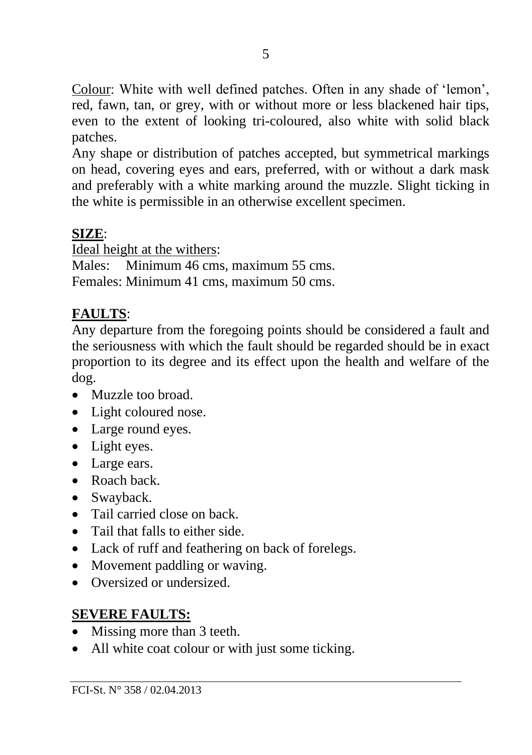Colour: White with well defined patches. Often in any shade of 'lemon', red, fawn, tan, or grey, with or without more or less blackened hair tips, even to the extent of looking tri-coloured, also white with solid black patches.

Any shape or distribution of patches accepted, but symmetrical markings on head, covering eyes and ears, preferred, with or without a dark mask and preferably with a white marking around the muzzle. Slight ticking in the white is permissible in an otherwise excellent specimen.

### **SIZE**:

Ideal height at the withers:

Males: Minimum 46 cms, maximum 55 cms. Females: Minimum 41 cms, maximum 50 cms.

## **FAULTS**:

Any departure from the foregoing points should be considered a fault and the seriousness with which the fault should be regarded should be in exact proportion to its degree and its effect upon the health and welfare of the dog.

- Muzzle too broad.
- Light coloured nose.
- Large round eyes.
- Light eyes.
- Large ears.
- Roach back.
- Swayback.
- Tail carried close on back.
- Tail that falls to either side.
- Lack of ruff and feathering on back of forelegs.
- Movement paddling or waving.
- Oversized or undersized.

### **SEVERE FAULTS:**

- Missing more than 3 teeth.
- All white coat colour or with just some ticking.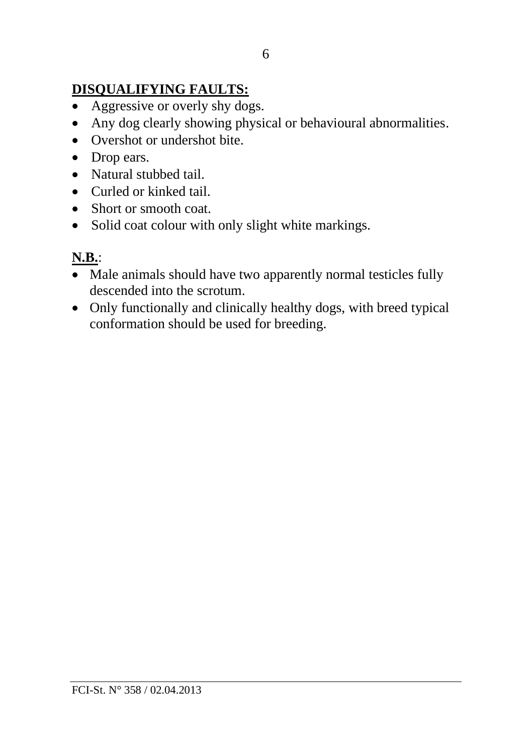## **DISQUALIFYING FAULTS:**

- Aggressive or overly shy dogs.
- Any dog clearly showing physical or behavioural abnormalities.
- Overshot or undershot bite.
- Drop ears.
- Natural stubbed tail.
- Curled or kinked tail.
- Short or smooth coat.
- Solid coat colour with only slight white markings.

## **N.B.**:

- Male animals should have two apparently normal testicles fully descended into the scrotum.
- Only functionally and clinically healthy dogs, with breed typical conformation should be used for breeding.